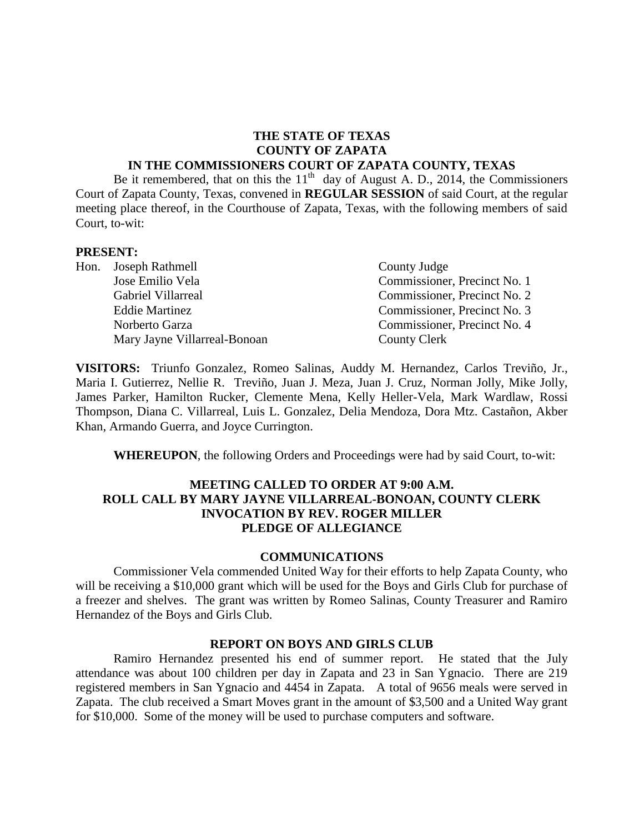#### **THE STATE OF TEXAS COUNTY OF ZAPATA IN THE COMMISSIONERS COURT OF ZAPATA COUNTY, TEXAS**

Be it remembered, that on this the  $11<sup>th</sup>$  day of August A. D., 2014, the Commissioners Court of Zapata County, Texas, convened in **REGULAR SESSION** of said Court, at the regular meeting place thereof, in the Courthouse of Zapata, Texas, with the following members of said Court, to-wit:

#### **PRESENT:**

| Hon. Joseph Rathmell         | County Judge                 |
|------------------------------|------------------------------|
| Jose Emilio Vela             | Commissioner, Precinct No. 1 |
| Gabriel Villarreal           | Commissioner, Precinct No. 2 |
| <b>Eddie Martinez</b>        | Commissioner, Precinct No. 3 |
| Norberto Garza               | Commissioner, Precinct No. 4 |
| Mary Jayne Villarreal-Bonoan | County Clerk                 |

**VISITORS:** Triunfo Gonzalez, Romeo Salinas, Auddy M. Hernandez, Carlos Treviño, Jr., Maria I. Gutierrez, Nellie R. Treviño, Juan J. Meza, Juan J. Cruz, Norman Jolly, Mike Jolly, James Parker, Hamilton Rucker, Clemente Mena, Kelly Heller-Vela, Mark Wardlaw, Rossi Thompson, Diana C. Villarreal, Luis L. Gonzalez, Delia Mendoza, Dora Mtz. Castañon, Akber Khan, Armando Guerra, and Joyce Currington.

**WHEREUPON**, the following Orders and Proceedings were had by said Court, to-wit:

#### **MEETING CALLED TO ORDER AT 9:00 A.M. ROLL CALL BY MARY JAYNE VILLARREAL-BONOAN, COUNTY CLERK INVOCATION BY REV. ROGER MILLER PLEDGE OF ALLEGIANCE**

#### **COMMUNICATIONS**

Commissioner Vela commended United Way for their efforts to help Zapata County, who will be receiving a \$10,000 grant which will be used for the Boys and Girls Club for purchase of a freezer and shelves. The grant was written by Romeo Salinas, County Treasurer and Ramiro Hernandez of the Boys and Girls Club.

#### **REPORT ON BOYS AND GIRLS CLUB**

Ramiro Hernandez presented his end of summer report. He stated that the July attendance was about 100 children per day in Zapata and 23 in San Ygnacio. There are 219 registered members in San Ygnacio and 4454 in Zapata. A total of 9656 meals were served in Zapata. The club received a Smart Moves grant in the amount of \$3,500 and a United Way grant for \$10,000. Some of the money will be used to purchase computers and software.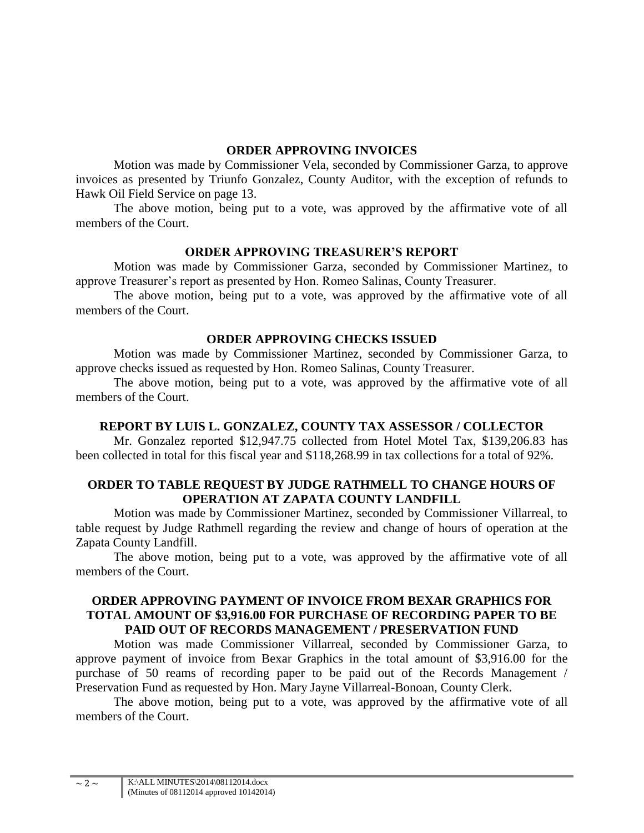### **ORDER APPROVING INVOICES**

Motion was made by Commissioner Vela, seconded by Commissioner Garza, to approve invoices as presented by Triunfo Gonzalez, County Auditor, with the exception of refunds to Hawk Oil Field Service on page 13.

The above motion, being put to a vote, was approved by the affirmative vote of all members of the Court.

## **ORDER APPROVING TREASURER'S REPORT**

Motion was made by Commissioner Garza, seconded by Commissioner Martinez, to approve Treasurer's report as presented by Hon. Romeo Salinas, County Treasurer.

The above motion, being put to a vote, was approved by the affirmative vote of all members of the Court.

## **ORDER APPROVING CHECKS ISSUED**

Motion was made by Commissioner Martinez, seconded by Commissioner Garza, to approve checks issued as requested by Hon. Romeo Salinas, County Treasurer.

The above motion, being put to a vote, was approved by the affirmative vote of all members of the Court.

## **REPORT BY LUIS L. GONZALEZ, COUNTY TAX ASSESSOR / COLLECTOR**

Mr. Gonzalez reported \$12,947.75 collected from Hotel Motel Tax, \$139,206.83 has been collected in total for this fiscal year and \$118,268.99 in tax collections for a total of 92%.

## **ORDER TO TABLE REQUEST BY JUDGE RATHMELL TO CHANGE HOURS OF OPERATION AT ZAPATA COUNTY LANDFILL**

Motion was made by Commissioner Martinez, seconded by Commissioner Villarreal, to table request by Judge Rathmell regarding the review and change of hours of operation at the Zapata County Landfill.

The above motion, being put to a vote, was approved by the affirmative vote of all members of the Court.

## **ORDER APPROVING PAYMENT OF INVOICE FROM BEXAR GRAPHICS FOR TOTAL AMOUNT OF \$3,916.00 FOR PURCHASE OF RECORDING PAPER TO BE PAID OUT OF RECORDS MANAGEMENT / PRESERVATION FUND**

Motion was made Commissioner Villarreal, seconded by Commissioner Garza, to approve payment of invoice from Bexar Graphics in the total amount of \$3,916.00 for the purchase of 50 reams of recording paper to be paid out of the Records Management / Preservation Fund as requested by Hon. Mary Jayne Villarreal-Bonoan, County Clerk.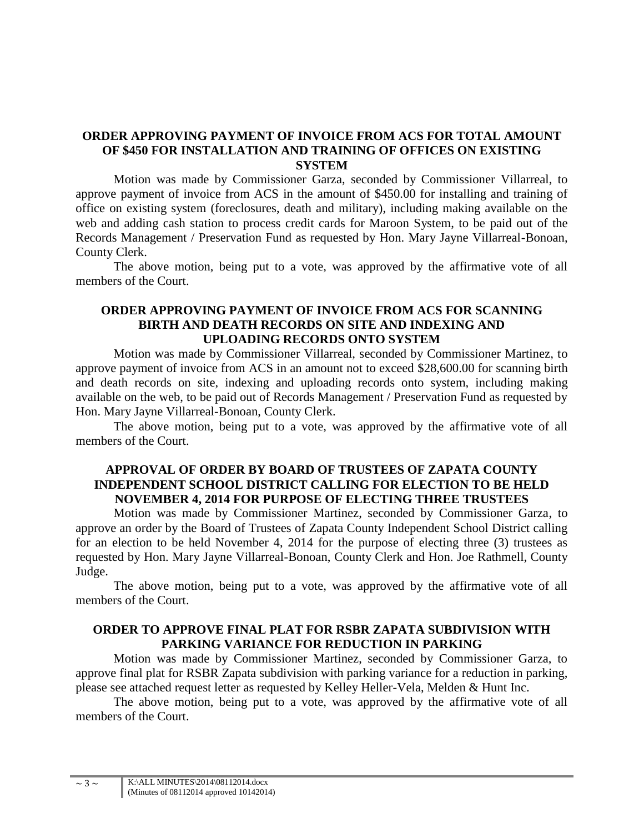## **ORDER APPROVING PAYMENT OF INVOICE FROM ACS FOR TOTAL AMOUNT OF \$450 FOR INSTALLATION AND TRAINING OF OFFICES ON EXISTING SYSTEM**

Motion was made by Commissioner Garza, seconded by Commissioner Villarreal, to approve payment of invoice from ACS in the amount of \$450.00 for installing and training of office on existing system (foreclosures, death and military), including making available on the web and adding cash station to process credit cards for Maroon System, to be paid out of the Records Management / Preservation Fund as requested by Hon. Mary Jayne Villarreal-Bonoan, County Clerk.

The above motion, being put to a vote, was approved by the affirmative vote of all members of the Court.

## **ORDER APPROVING PAYMENT OF INVOICE FROM ACS FOR SCANNING BIRTH AND DEATH RECORDS ON SITE AND INDEXING AND UPLOADING RECORDS ONTO SYSTEM**

Motion was made by Commissioner Villarreal, seconded by Commissioner Martinez, to approve payment of invoice from ACS in an amount not to exceed \$28,600.00 for scanning birth and death records on site, indexing and uploading records onto system, including making available on the web, to be paid out of Records Management / Preservation Fund as requested by Hon. Mary Jayne Villarreal-Bonoan, County Clerk.

The above motion, being put to a vote, was approved by the affirmative vote of all members of the Court.

## **APPROVAL OF ORDER BY BOARD OF TRUSTEES OF ZAPATA COUNTY INDEPENDENT SCHOOL DISTRICT CALLING FOR ELECTION TO BE HELD NOVEMBER 4, 2014 FOR PURPOSE OF ELECTING THREE TRUSTEES**

Motion was made by Commissioner Martinez, seconded by Commissioner Garza, to approve an order by the Board of Trustees of Zapata County Independent School District calling for an election to be held November 4, 2014 for the purpose of electing three (3) trustees as requested by Hon. Mary Jayne Villarreal-Bonoan, County Clerk and Hon. Joe Rathmell, County Judge.

The above motion, being put to a vote, was approved by the affirmative vote of all members of the Court.

## **ORDER TO APPROVE FINAL PLAT FOR RSBR ZAPATA SUBDIVISION WITH PARKING VARIANCE FOR REDUCTION IN PARKING**

Motion was made by Commissioner Martinez, seconded by Commissioner Garza, to approve final plat for RSBR Zapata subdivision with parking variance for a reduction in parking, please see attached request letter as requested by Kelley Heller-Vela, Melden & Hunt Inc.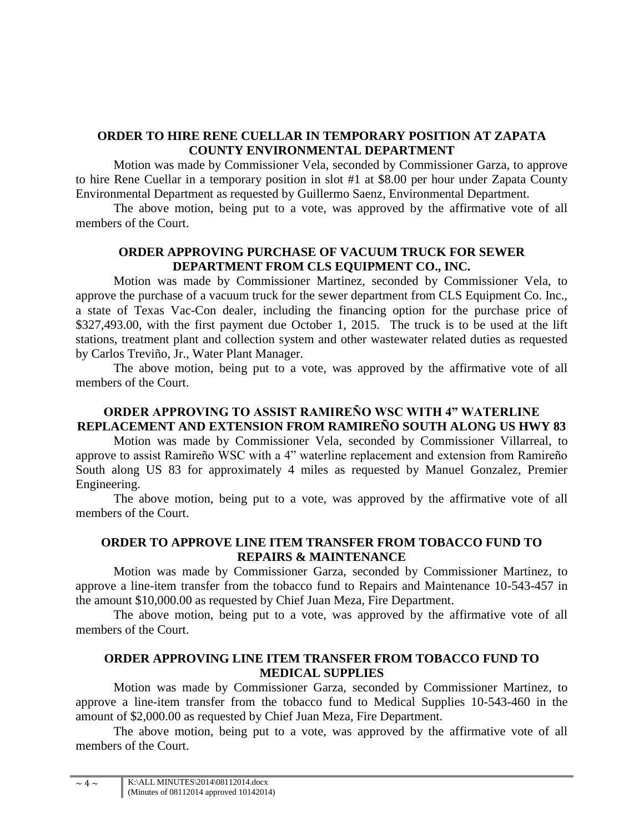## **ORDER TO HIRE RENE CUELLAR IN TEMPORARY POSITION AT ZAPATA COUNTY ENVIRONMENTAL DEPARTMENT**

Motion was made by Commissioner Vela, seconded by Commissioner Garza, to approve to hire Rene Cuellar in a temporary position in slot #1 at \$8.00 per hour under Zapata County Environmental Department as requested by Guillermo Saenz, Environmental Department.

The above motion, being put to a vote, was approved by the affirmative vote of all members of the Court.

# **ORDER APPROVING PURCHASE OF VACUUM TRUCK FOR SEWER DEPARTMENT FROM CLS EQUIPMENT CO., INC.**

Motion was made by Commissioner Martinez, seconded by Commissioner Vela, to approve the purchase of a vacuum truck for the sewer department from CLS Equipment Co. Inc., a state of Texas Vac-Con dealer, including the financing option for the purchase price of \$327,493.00, with the first payment due October 1, 2015. The truck is to be used at the lift stations, treatment plant and collection system and other wastewater related duties as requested by Carlos Treviño, Jr., Water Plant Manager.

The above motion, being put to a vote, was approved by the affirmative vote of all members of the Court.

## **ORDER APPROVING TO ASSIST RAMIREÑO WSC WITH 4" WATERLINE REPLACEMENT AND EXTENSION FROM RAMIREÑO SOUTH ALONG US HWY 83**

Motion was made by Commissioner Vela, seconded by Commissioner Villarreal, to approve to assist Ramireño WSC with a 4" waterline replacement and extension from Ramireño South along US 83 for approximately 4 miles as requested by Manuel Gonzalez, Premier Engineering.

The above motion, being put to a vote, was approved by the affirmative vote of all members of the Court.

## **ORDER TO APPROVE LINE ITEM TRANSFER FROM TOBACCO FUND TO REPAIRS & MAINTENANCE**

Motion was made by Commissioner Garza, seconded by Commissioner Martinez, to approve a line-item transfer from the tobacco fund to Repairs and Maintenance 10-543-457 in the amount \$10,000.00 as requested by Chief Juan Meza, Fire Department.

The above motion, being put to a vote, was approved by the affirmative vote of all members of the Court.

## **ORDER APPROVING LINE ITEM TRANSFER FROM TOBACCO FUND TO MEDICAL SUPPLIES**

Motion was made by Commissioner Garza, seconded by Commissioner Martinez, to approve a line-item transfer from the tobacco fund to Medical Supplies 10-543-460 in the amount of \$2,000.00 as requested by Chief Juan Meza, Fire Department.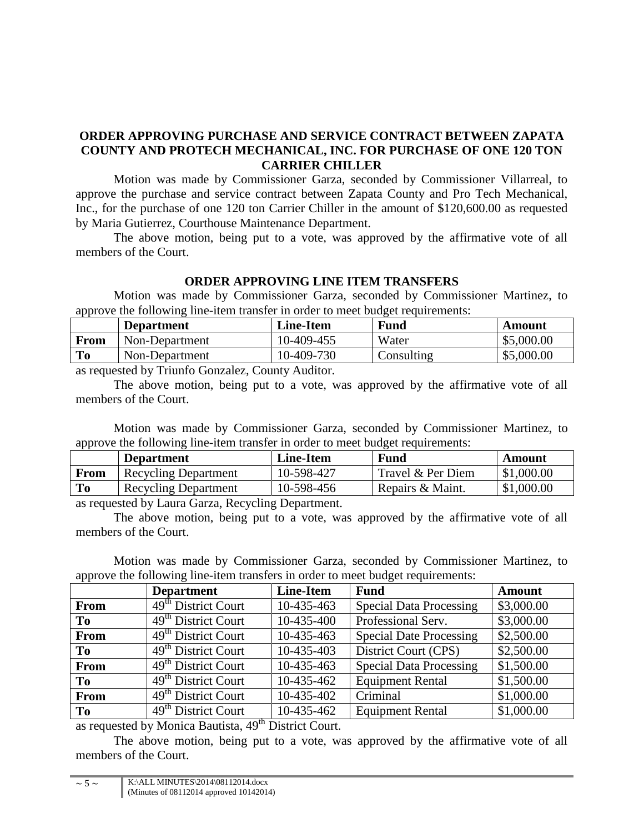# **ORDER APPROVING PURCHASE AND SERVICE CONTRACT BETWEEN ZAPATA COUNTY AND PROTECH MECHANICAL, INC. FOR PURCHASE OF ONE 120 TON CARRIER CHILLER**

Motion was made by Commissioner Garza, seconded by Commissioner Villarreal, to approve the purchase and service contract between Zapata County and Pro Tech Mechanical, Inc., for the purchase of one 120 ton Carrier Chiller in the amount of \$120,600.00 as requested by Maria Gutierrez, Courthouse Maintenance Department.

The above motion, being put to a vote, was approved by the affirmative vote of all members of the Court.

## **ORDER APPROVING LINE ITEM TRANSFERS**

Motion was made by Commissioner Garza, seconded by Commissioner Martinez, to approve the following line-item transfer in order to meet budget requirements:

|      | <b>Department</b> | <b>Line-Item</b> | <b>Fund</b> | Amount     |
|------|-------------------|------------------|-------------|------------|
| From | Non-Department    | $10-409-455$     | Water       | \$5,000.00 |
| To   | Non-Department    | 10-409-730       | Consulting  | \$5,000.00 |
|      |                   |                  |             |            |

as requested by Triunfo Gonzalez, County Auditor.

The above motion, being put to a vote, was approved by the affirmative vote of all members of the Court.

Motion was made by Commissioner Garza, seconded by Commissioner Martinez, to approve the following line-item transfer in order to meet budget requirements:

| .                                    | <b>Department</b>           | <b>Line-Item</b> | Fund              | Amount     |
|--------------------------------------|-----------------------------|------------------|-------------------|------------|
| <b>From</b>                          | <b>Recycling Department</b> | 10-598-427       | Travel & Per Diem | \$1,000.00 |
| To                                   | <b>Recycling Department</b> | 10-598-456       | Repairs & Maint.  | \$1,000.00 |
| $\sim$ 11 I $\sim$ n $\sim$ n $\sim$ |                             |                  |                   |            |

as requested by Laura Garza, Recycling Department.

The above motion, being put to a vote, was approved by the affirmative vote of all members of the Court.

Motion was made by Commissioner Garza, seconded by Commissioner Martinez, to approve the following line-item transfers in order to meet budget requirements:

|                | <b>Department</b>               | <b>Line-Item</b> | <b>Fund</b>                    | <b>Amount</b> |
|----------------|---------------------------------|------------------|--------------------------------|---------------|
| From           | 49 <sup>th</sup> District Court | 10-435-463       | <b>Special Data Processing</b> | \$3,000.00    |
| To             | 49 <sup>th</sup> District Court | 10-435-400       | Professional Serv.             | \$3,000.00    |
| From           | 49 <sup>th</sup> District Court | 10-435-463       | <b>Special Date Processing</b> | \$2,500.00    |
| To             | 49 <sup>th</sup> District Court | 10-435-403       | District Court (CPS)           | \$2,500.00    |
| From           | 49 <sup>th</sup> District Court | 10-435-463       | <b>Special Data Processing</b> | \$1,500.00    |
| T <sub>0</sub> | 49 <sup>th</sup> District Court | 10-435-462       | <b>Equipment Rental</b>        | \$1,500.00    |
| From           | 49 <sup>th</sup> District Court | 10-435-402       | Criminal                       | \$1,000.00    |
| To             | 49 <sup>th</sup> District Court | 10-435-462       | <b>Equipment Rental</b>        | \$1,000.00    |

as requested by Monica Bautista, 49<sup>th</sup> District Court.